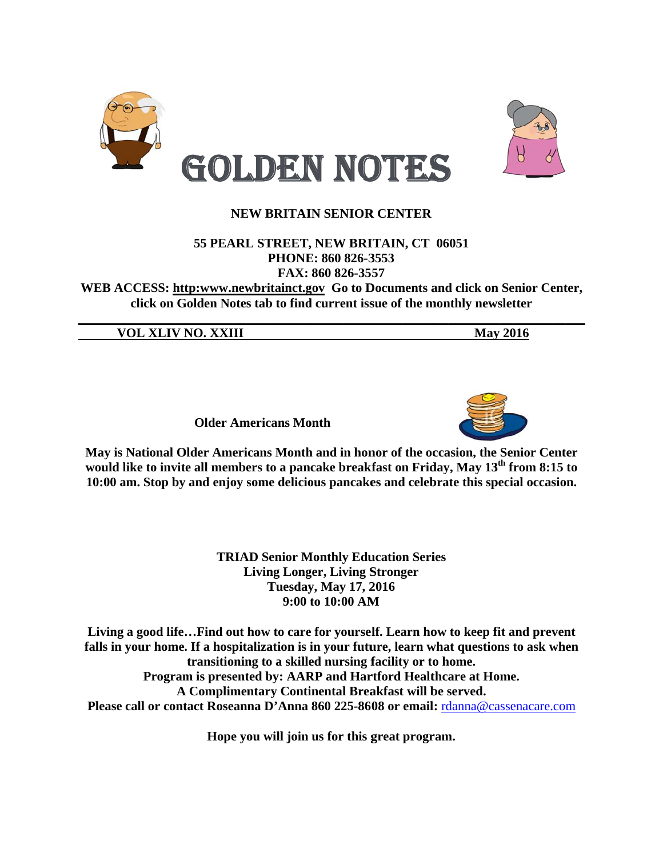



### 55 PEARL STREET, NEW BRITAIN, CT 06051 PHONE: 860 826-3553 FAX: 860 826-3557

WEB ACCESS: http:www.newbritainct.gov Go to Documents and click on Senior Center, click on Golden Notes tab to find current issue of the monthly newsletter

**VOL XLIV NO. XXIII** 

**May 2016** 

**Older Americans Month** 



May is National Older Americans Month and in honor of the occasion, the Senior Center would like to invite all members to a pancake breakfast on Friday, May 13<sup>th</sup> from 8:15 to 10:00 am. Stop by and enjoy some delicious pancakes and celebrate this special occasion.

> **TRIAD Senior Monthly Education Series Living Longer, Living Stronger Tuesday, May 17, 2016** 9:00 to 10:00 AM

Living a good life...Find out how to care for yourself. Learn how to keep fit and prevent falls in your home. If a hospitalization is in your future, learn what questions to ask when transitioning to a skilled nursing facility or to home. Program is presented by: AARP and Hartford Healthcare at Home. A Complimentary Continental Breakfast will be served. Please call or contact Roseanna D'Anna 860 225-8608 or email: rdanna@cassenacare.com

Hope you will join us for this great program.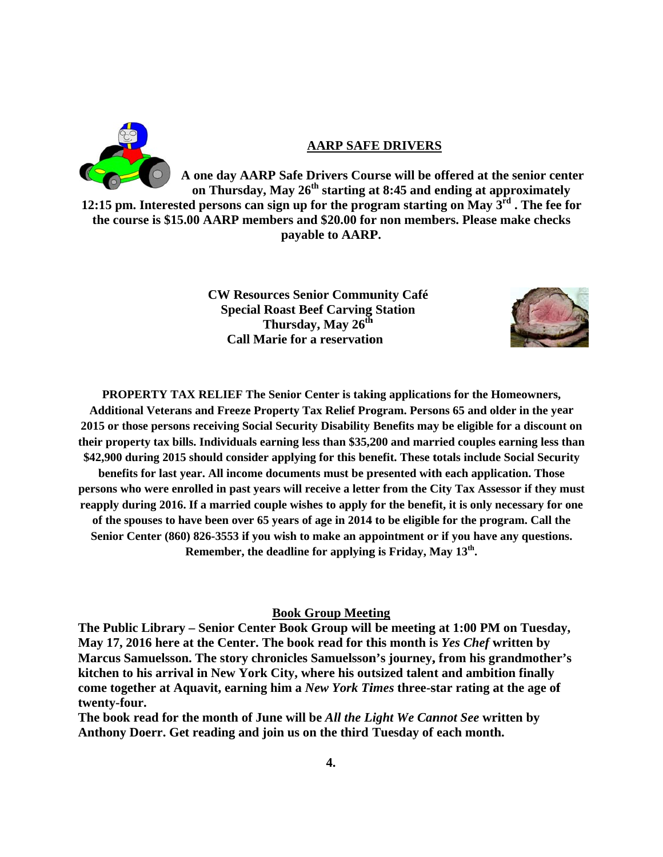

#### **AARP SAFE DRIVERS**

A one day AARP Safe Drivers Course will be offered at the senior center on Thursday, May  $26^{th}$  starting at 8:45 and ending at approximately 12:15 pm. Interested persons can sign up for the program starting on May  $3^{\overline{r}d}$ . The fee for the course is \$15.00 AARP members and \$20.00 for non members. Please make checks payable to AARP.

> **CW Resources Senior Community Café Special Roast Beef Carving Station** Thursday, May 26<sup>th</sup> **Call Marie for a reservation**



**PROPERTY TAX RELIEF The Senior Center is taking applications for the Homeowners,** Additional Veterans and Freeze Property Tax Relief Program. Persons 65 and older in the year 2015 or those persons receiving Social Security Disability Benefits may be eligible for a discount on their property tax bills. Individuals earning less than \$35,200 and married couples earning less than \$42,900 during 2015 should consider applying for this benefit. These totals include Social Security benefits for last year. All income documents must be presented with each application. Those persons who were enrolled in past years will receive a letter from the City Tax Assessor if they must reapply during 2016. If a married couple wishes to apply for the benefit, it is only necessary for one of the spouses to have been over 65 years of age in 2014 to be eligible for the program. Call the Senior Center (860) 826-3553 if you wish to make an appointment or if you have any questions. Remember, the deadline for applying is Friday, May 13<sup>th</sup>.

#### **Book Group Meeting**

The Public Library – Senior Center Book Group will be meeting at 1:00 PM on Tuesday, May 17, 2016 here at the Center. The book read for this month is Yes Chef written by Marcus Samuelsson. The story chronicles Samuelsson's journey, from his grandmother's kitchen to his arrival in New York City, where his outsized talent and ambition finally come together at Aquavit, earning him a *New York Times* three-star rating at the age of twenty-four.

The book read for the month of June will be *All the Light We Cannot See* written by Anthony Doerr. Get reading and join us on the third Tuesday of each month.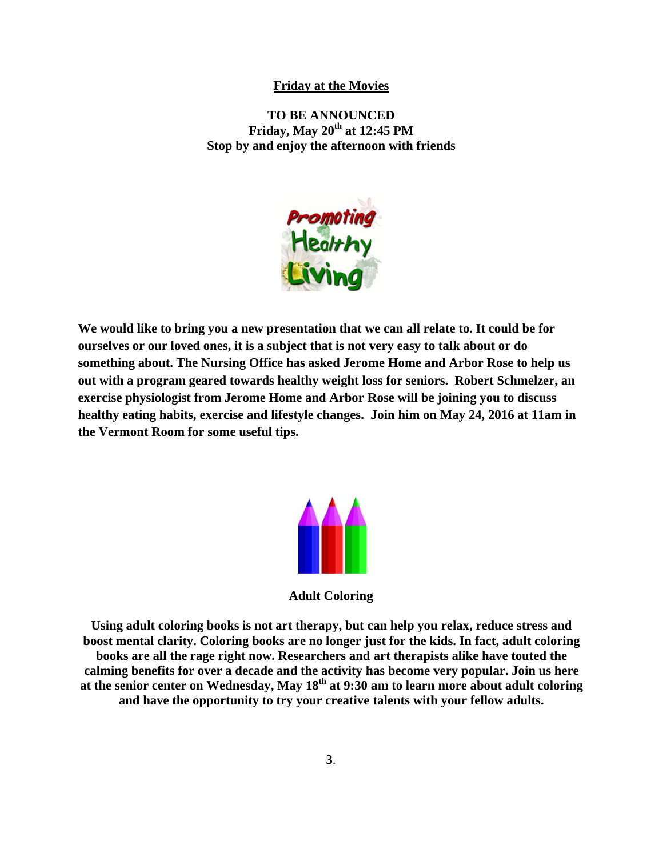#### **Friday at the Movies**

Stop by and enjoy the afternoon with friends **TO BE ANNOUNCED Friday, Ma ay 20th at 12 2:45 PM** 



We would like to bring you a new presentation that we can all relate to. It could be for **ourselves or our loved ones, it is a subject that is not very easy to talk about or do** something about. The Nursing Office has asked Jerome Home and Arbor Rose to help us **out with a program geared towards healthy weight loss for seniors. Robert Schmelzer, an exercise physiologist from Jerome Home and Arbor Rose will be joining you to discuss healthy** eating habits, exercise and lifestyle changes. Join him on May 24, 2016 at 11am in the Vermont Room for some useful tips.



**Adult Coloring** 

Adult Coloring<br>Using adult coloring books is not art therapy, but can help you relax, reduce stress and **boost mental clarity. Coloring books are no longer just for the kids. In fact, adult coloring books are all the rage right now. Researchers and art therapists alike have touted the** calming benefits for over a decade and the activity has become very popular. Join us here at the senior center on Wednesday, May 18<sup>th</sup> at 9:30 am to learn more about adult coloring and have the opportunity to try your creative talents with your fellow adults.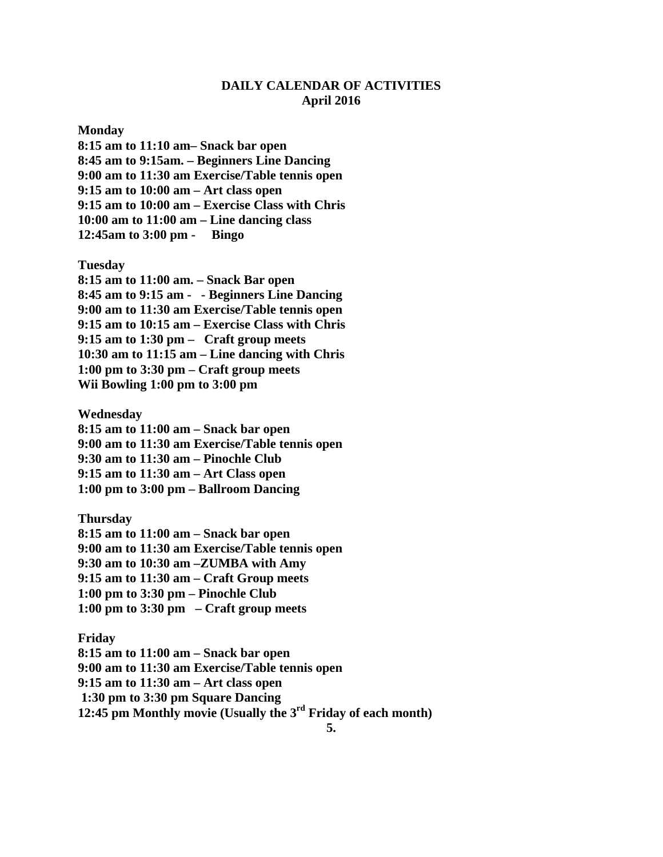## **DAILY CALENDAR OF ACTIVITIES April 2016**

#### **Monday**

**8:15 am to 11:10 am– Snack bar open 8:45 am to 9:15am. – Beginners Line Dancing 9:00 am to 11:30 am Exercise/Table tennis open 9:15 am to 10:00 am – Art class open 9:15 am to 10:00 am – Exercise Class with Chris 10:00 am to 11:00 am – Line dancing class 12:45am to 3:00 pm - Bingo** 

**Tuesday** 

**8:15 am to 11:00 am. – Snack Bar open 8:45 am to 9:15 am - - Beginners Line Dancing 9:00 am to 11:30 am Exercise/Table tennis open 9:15 am to 10:15 am – Exercise Class with Chris 9:15 am to 1:30 pm – Craft group meets 10:30 am to 11:15 am – Line dancing with Chris 1:00 pm to 3:30 pm – Craft group meets Wii Bowling 1:00 pm to 3:00 pm** 

**Wednesday** 

**8:15 am to 11:00 am – Snack bar open 9:00 am to 11:30 am Exercise/Table tennis open 9:30 am to 11:30 am – Pinochle Club 9:15 am to 11:30 am – Art Class open 1:00 pm to 3:00 pm – Ballroom Dancing** 

**Thursday 8:15 am to 11:00 am – Snack bar open 9:00 am to 11:30 am Exercise/Table tennis open 9:30 am to 10:30 am –ZUMBA with Amy 9:15 am to 11:30 am – Craft Group meets 1:00 pm to 3:30 pm – Pinochle Club 1:00 pm to 3:30 pm – Craft group meets** 

**Friday 8:15 am to 11:00 am – Snack bar open 9:00 am to 11:30 am Exercise/Table tennis open 9:15 am to 11:30 am – Art class open 1:30 pm to 3:30 pm Square Dancing 12:45 pm Monthly movie (Usually the 3rd Friday of each month)**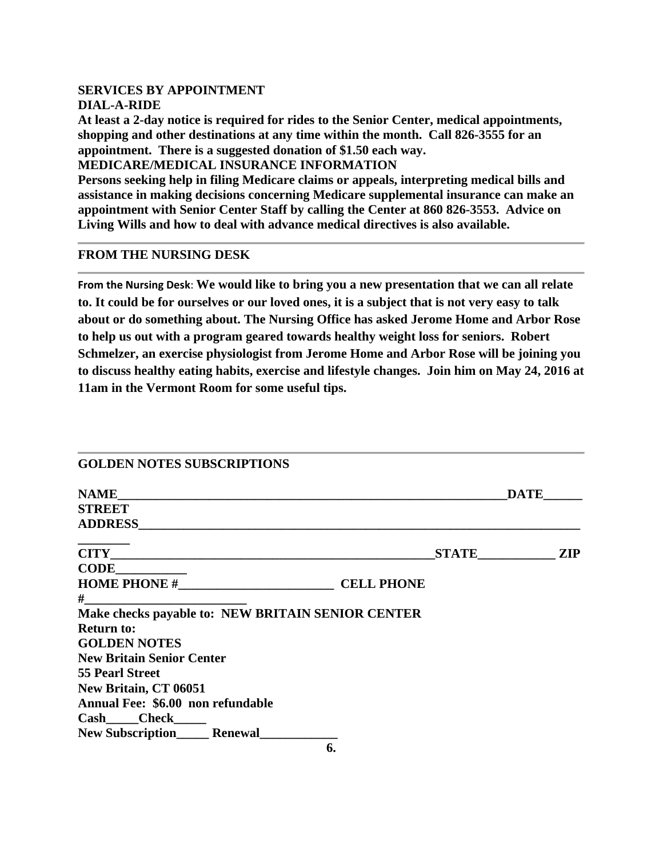# **SERVICES BY APPOINTMENT**

**DIAL-A-RIDE** 

**At least a 2-day notice is required for rides to the Senior Center, medical appointments, shopping and other destinations at any time within the month. Call 826-3555 for an appointment. There is a suggested donation of \$1.50 each way.** 

**MEDICARE/MEDICAL INSURANCE INFORMATION** 

**Persons seeking help in filing Medicare claims or appeals, interpreting medical bills and assistance in making decisions concerning Medicare supplemental insurance can make an appointment with Senior Center Staff by calling the Center at 860 826-3553. Advice on Living Wills and how to deal with advance medical directives is also available.** 

## **FROM THE NURSING DESK**

**From the Nursing Desk**: **We would like to bring you a new presentation that we can all relate to. It could be for ourselves or our loved ones, it is a subject that is not very easy to talk about or do something about. The Nursing Office has asked Jerome Home and Arbor Rose to help us out with a program geared towards healthy weight loss for seniors. Robert Schmelzer, an exercise physiologist from Jerome Home and Arbor Rose will be joining you to discuss healthy eating habits, exercise and lifestyle changes. Join him on May 24, 2016 at 11am in the Vermont Room for some useful tips.** 

| <b>GOLDEN NOTES SUBSCRIPTIONS</b>                 |           |             |
|---------------------------------------------------|-----------|-------------|
|                                                   |           | <b>DATE</b> |
| <b>STREET</b>                                     |           |             |
|                                                   |           |             |
|                                                   | STATE ZIP |             |
| $CODE$                                            |           |             |
| HOME PHONE # CELL PHONE                           |           |             |
|                                                   |           |             |
| Make checks payable to: NEW BRITAIN SENIOR CENTER |           |             |
| <b>Return to:</b>                                 |           |             |
| <b>GOLDEN NOTES</b>                               |           |             |
| <b>New Britain Senior Center</b>                  |           |             |
| <b>55 Pearl Street</b>                            |           |             |
| New Britain, CT 06051                             |           |             |
| Annual Fee: \$6.00 non refundable                 |           |             |
| Cash Check                                        |           |             |
| <b>New Subscription Renewal</b>                   |           |             |
| 6.                                                |           |             |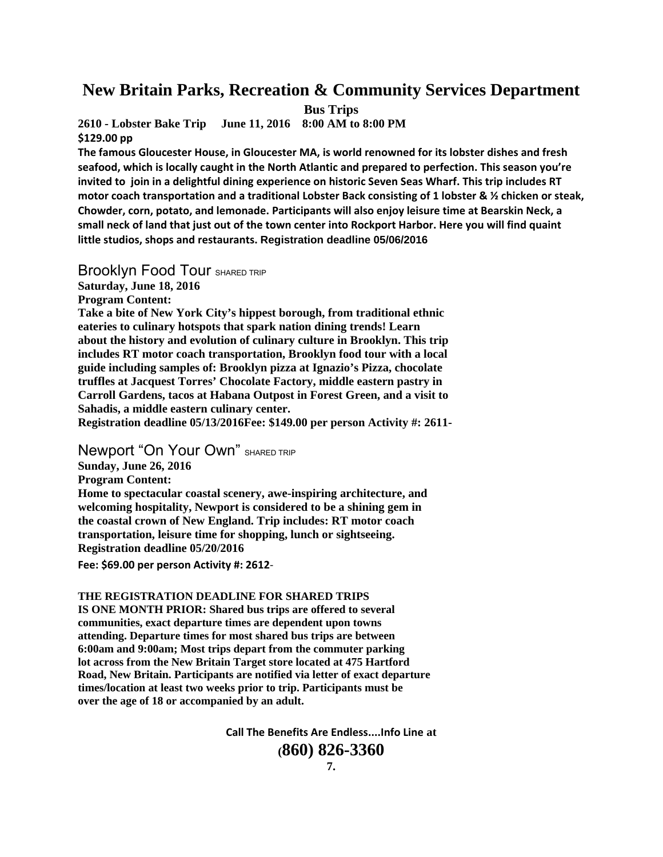# **New Britain Parks, Recreation & Community Services Department**

**Bus Trips** 

**2610 - Lobster Bake Trip June 11, 2016 8:00 AM to 8:00 PM \$129.00 pp**

**The famous Gloucester House, in Gloucester MA, is world renowned for its lobster dishes and fresh seafood, which is locally caught in the North Atlantic and prepared to perfection. This season you're** invited to join in a delightful dining experience on historic Seven Seas Wharf. This trip includes RT **motor coach transportation and a traditional Lobster Back consisting of 1 lobster & ½ chicken or steak, Chowder, corn, potato, and lemonade. Participants will also enjoy leisure time at Bearskin Neck, a** small neck of land that just out of the town center into Rockport Harbor. Here you will find quaint **little studios, shops and restaurants. Registration deadline 05/06/2016**

Brooklyn Food Tour SHARED TRIP

**Saturday, June 18, 2016** 

**Program Content:** 

**Take a bite of New York City's hippest borough, from traditional ethnic eateries to culinary hotspots that spark nation dining trends! Learn about the history and evolution of culinary culture in Brooklyn. This trip includes RT motor coach transportation, Brooklyn food tour with a local guide including samples of: Brooklyn pizza at Ignazio's Pizza, chocolate truffles at Jacquest Torres' Chocolate Factory, middle eastern pastry in Carroll Gardens, tacos at Habana Outpost in Forest Green, and a visit to Sahadis, a middle eastern culinary center.** 

**Registration deadline 05/13/2016Fee: \$149.00 per person Activity #: 2611-** 

**Newport "On Your Own"** SHARED TRIP

**Sunday, June 26, 2016** 

**Program Content:** 

**Home to spectacular coastal scenery, awe-inspiring architecture, and welcoming hospitality, Newport is considered to be a shining gem in the coastal crown of New England. Trip includes: RT motor coach transportation, leisure time for shopping, lunch or sightseeing. Registration deadline 05/20/2016** 

**Fee:** \$69.00 per person Activity #: 2612-

**THE REGISTRATION DEADLINE FOR SHARED TRIPS** 

**IS ONE MONTH PRIOR: Shared bus trips are offered to several communities, exact departure times are dependent upon towns attending. Departure times for most shared bus trips are between 6:00am and 9:00am; Most trips depart from the commuter parking lot across from the New Britain Target store located at 475 Hartford Road, New Britain. Participants are notified via letter of exact departure times/location at least two weeks prior to trip. Participants must be over the age of 18 or accompanied by an adult.** 

**Call The Benefits Are Endless....Info Line at** 

**(860) 826-3360**